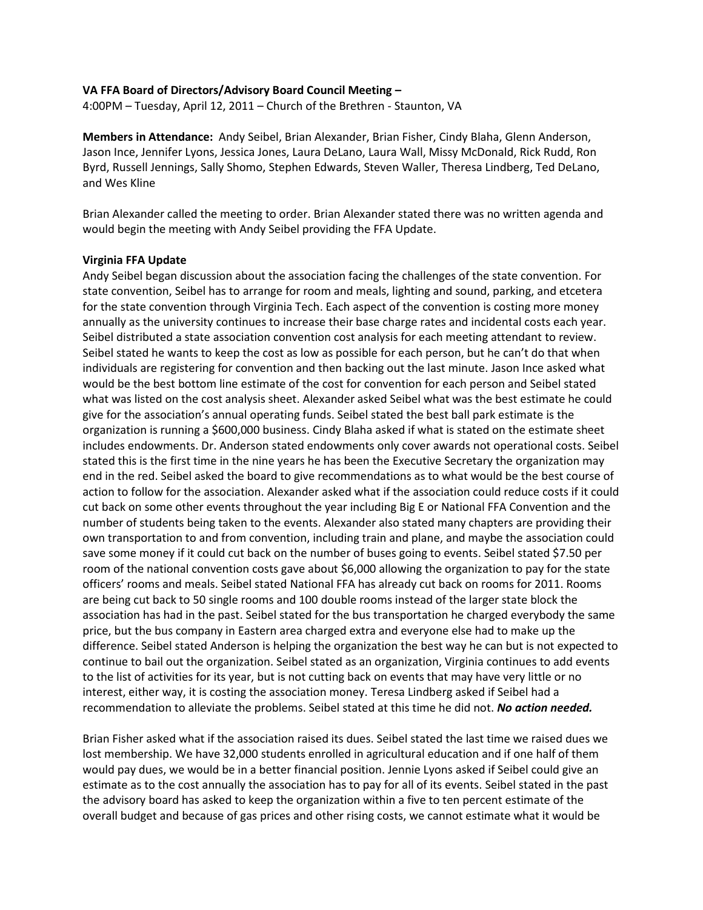## **VA FFA Board of Directors/Advisory Board Council Meeting –**

4:00PM – Tuesday, April 12, 2011 – Church of the Brethren - Staunton, VA

**Members in Attendance:** Andy Seibel, Brian Alexander, Brian Fisher, Cindy Blaha, Glenn Anderson, Jason Ince, Jennifer Lyons, Jessica Jones, Laura DeLano, Laura Wall, Missy McDonald, Rick Rudd, Ron Byrd, Russell Jennings, Sally Shomo, Stephen Edwards, Steven Waller, Theresa Lindberg, Ted DeLano, and Wes Kline

Brian Alexander called the meeting to order. Brian Alexander stated there was no written agenda and would begin the meeting with Andy Seibel providing the FFA Update.

## **Virginia FFA Update**

Andy Seibel began discussion about the association facing the challenges of the state convention. For state convention, Seibel has to arrange for room and meals, lighting and sound, parking, and etcetera for the state convention through Virginia Tech. Each aspect of the convention is costing more money annually as the university continues to increase their base charge rates and incidental costs each year. Seibel distributed a state association convention cost analysis for each meeting attendant to review. Seibel stated he wants to keep the cost as low as possible for each person, but he can't do that when individuals are registering for convention and then backing out the last minute. Jason Ince asked what would be the best bottom line estimate of the cost for convention for each person and Seibel stated what was listed on the cost analysis sheet. Alexander asked Seibel what was the best estimate he could give for the association's annual operating funds. Seibel stated the best ball park estimate is the organization is running a \$600,000 business. Cindy Blaha asked if what is stated on the estimate sheet includes endowments. Dr. Anderson stated endowments only cover awards not operational costs. Seibel stated this is the first time in the nine years he has been the Executive Secretary the organization may end in the red. Seibel asked the board to give recommendations as to what would be the best course of action to follow for the association. Alexander asked what if the association could reduce costs if it could cut back on some other events throughout the year including Big E or National FFA Convention and the number of students being taken to the events. Alexander also stated many chapters are providing their own transportation to and from convention, including train and plane, and maybe the association could save some money if it could cut back on the number of buses going to events. Seibel stated \$7.50 per room of the national convention costs gave about \$6,000 allowing the organization to pay for the state officers' rooms and meals. Seibel stated National FFA has already cut back on rooms for 2011. Rooms are being cut back to 50 single rooms and 100 double rooms instead of the larger state block the association has had in the past. Seibel stated for the bus transportation he charged everybody the same price, but the bus company in Eastern area charged extra and everyone else had to make up the difference. Seibel stated Anderson is helping the organization the best way he can but is not expected to continue to bail out the organization. Seibel stated as an organization, Virginia continues to add events to the list of activities for its year, but is not cutting back on events that may have very little or no interest, either way, it is costing the association money. Teresa Lindberg asked if Seibel had a recommendation to alleviate the problems. Seibel stated at this time he did not. *No action needed.*

Brian Fisher asked what if the association raised its dues. Seibel stated the last time we raised dues we lost membership. We have 32,000 students enrolled in agricultural education and if one half of them would pay dues, we would be in a better financial position. Jennie Lyons asked if Seibel could give an estimate as to the cost annually the association has to pay for all of its events. Seibel stated in the past the advisory board has asked to keep the organization within a five to ten percent estimate of the overall budget and because of gas prices and other rising costs, we cannot estimate what it would be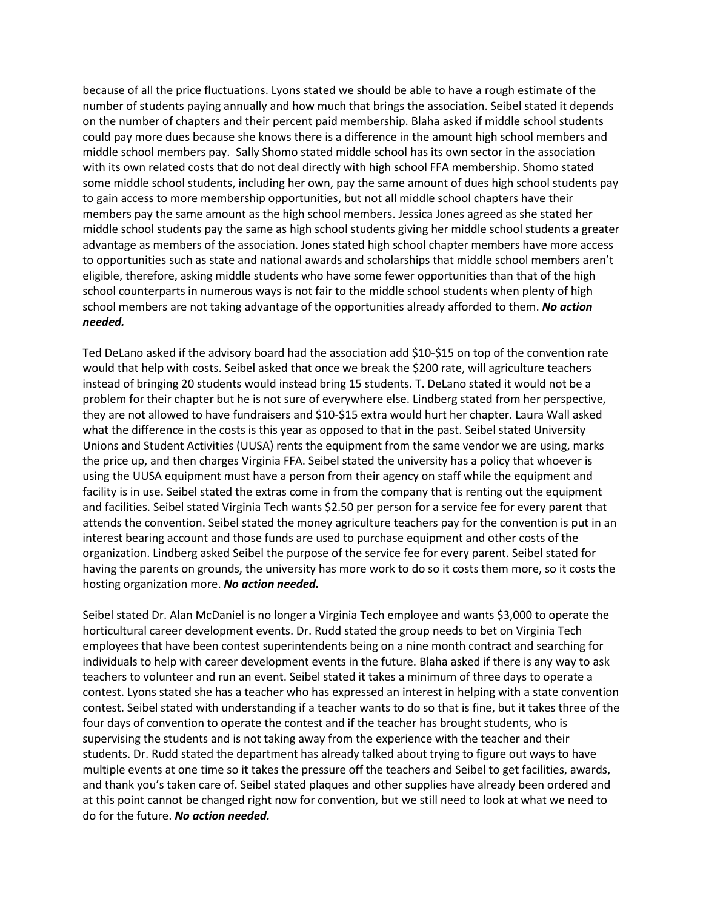because of all the price fluctuations. Lyons stated we should be able to have a rough estimate of the number of students paying annually and how much that brings the association. Seibel stated it depends on the number of chapters and their percent paid membership. Blaha asked if middle school students could pay more dues because she knows there is a difference in the amount high school members and middle school members pay. Sally Shomo stated middle school has its own sector in the association with its own related costs that do not deal directly with high school FFA membership. Shomo stated some middle school students, including her own, pay the same amount of dues high school students pay to gain access to more membership opportunities, but not all middle school chapters have their members pay the same amount as the high school members. Jessica Jones agreed as she stated her middle school students pay the same as high school students giving her middle school students a greater advantage as members of the association. Jones stated high school chapter members have more access to opportunities such as state and national awards and scholarships that middle school members aren't eligible, therefore, asking middle students who have some fewer opportunities than that of the high school counterparts in numerous ways is not fair to the middle school students when plenty of high school members are not taking advantage of the opportunities already afforded to them. *No action needed.* 

Ted DeLano asked if the advisory board had the association add \$10-\$15 on top of the convention rate would that help with costs. Seibel asked that once we break the \$200 rate, will agriculture teachers instead of bringing 20 students would instead bring 15 students. T. DeLano stated it would not be a problem for their chapter but he is not sure of everywhere else. Lindberg stated from her perspective, they are not allowed to have fundraisers and \$10-\$15 extra would hurt her chapter. Laura Wall asked what the difference in the costs is this year as opposed to that in the past. Seibel stated University Unions and Student Activities (UUSA) rents the equipment from the same vendor we are using, marks the price up, and then charges Virginia FFA. Seibel stated the university has a policy that whoever is using the UUSA equipment must have a person from their agency on staff while the equipment and facility is in use. Seibel stated the extras come in from the company that is renting out the equipment and facilities. Seibel stated Virginia Tech wants \$2.50 per person for a service fee for every parent that attends the convention. Seibel stated the money agriculture teachers pay for the convention is put in an interest bearing account and those funds are used to purchase equipment and other costs of the organization. Lindberg asked Seibel the purpose of the service fee for every parent. Seibel stated for having the parents on grounds, the university has more work to do so it costs them more, so it costs the hosting organization more. *No action needed.*

Seibel stated Dr. Alan McDaniel is no longer a Virginia Tech employee and wants \$3,000 to operate the horticultural career development events. Dr. Rudd stated the group needs to bet on Virginia Tech employees that have been contest superintendents being on a nine month contract and searching for individuals to help with career development events in the future. Blaha asked if there is any way to ask teachers to volunteer and run an event. Seibel stated it takes a minimum of three days to operate a contest. Lyons stated she has a teacher who has expressed an interest in helping with a state convention contest. Seibel stated with understanding if a teacher wants to do so that is fine, but it takes three of the four days of convention to operate the contest and if the teacher has brought students, who is supervising the students and is not taking away from the experience with the teacher and their students. Dr. Rudd stated the department has already talked about trying to figure out ways to have multiple events at one time so it takes the pressure off the teachers and Seibel to get facilities, awards, and thank you's taken care of. Seibel stated plaques and other supplies have already been ordered and at this point cannot be changed right now for convention, but we still need to look at what we need to do for the future. *No action needed.*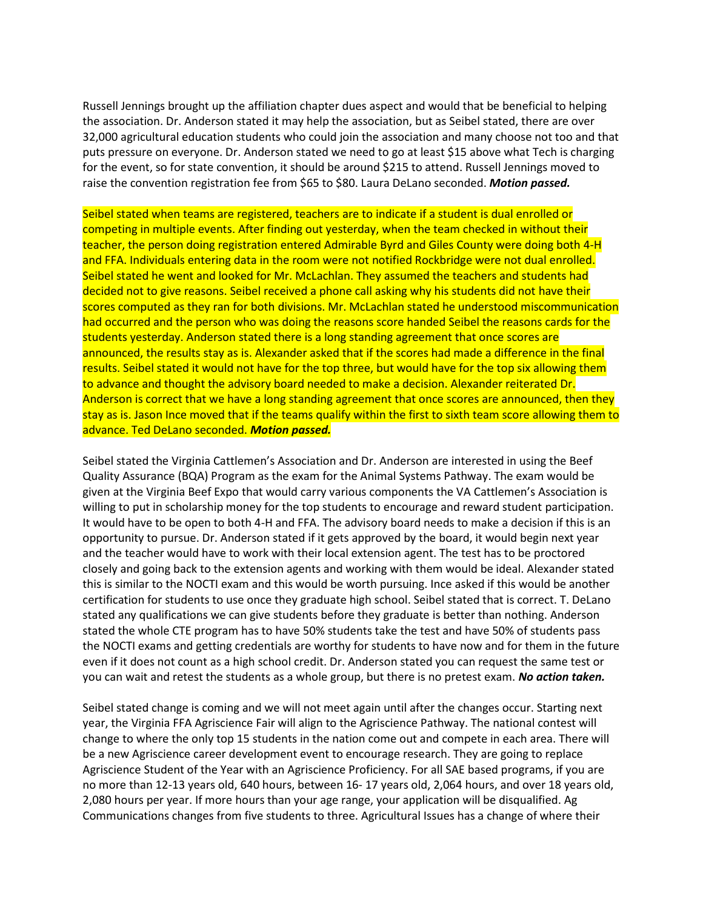Russell Jennings brought up the affiliation chapter dues aspect and would that be beneficial to helping the association. Dr. Anderson stated it may help the association, but as Seibel stated, there are over 32,000 agricultural education students who could join the association and many choose not too and that puts pressure on everyone. Dr. Anderson stated we need to go at least \$15 above what Tech is charging for the event, so for state convention, it should be around \$215 to attend. Russell Jennings moved to raise the convention registration fee from \$65 to \$80. Laura DeLano seconded. *Motion passed.*

Seibel stated when teams are registered, teachers are to indicate if a student is dual enrolled or competing in multiple events. After finding out yesterday, when the team checked in without their teacher, the person doing registration entered Admirable Byrd and Giles County were doing both 4-H and FFA. Individuals entering data in the room were not notified Rockbridge were not dual enrolled. Seibel stated he went and looked for Mr. McLachlan. They assumed the teachers and students had decided not to give reasons. Seibel received a phone call asking why his students did not have their scores computed as they ran for both divisions. Mr. McLachlan stated he understood miscommunication had occurred and the person who was doing the reasons score handed Seibel the reasons cards for the students yesterday. Anderson stated there is a long standing agreement that once scores are announced, the results stay as is. Alexander asked that if the scores had made a difference in the final results. Seibel stated it would not have for the top three, but would have for the top six allowing them to advance and thought the advisory board needed to make a decision. Alexander reiterated Dr. Anderson is correct that we have a long standing agreement that once scores are announced, then they stay as is. Jason Ince moved that if the teams qualify within the first to sixth team score allowing them to advance. Ted DeLano seconded. *Motion passed.*

Seibel stated the Virginia Cattlemen's Association and Dr. Anderson are interested in using the Beef Quality Assurance (BQA) Program as the exam for the Animal Systems Pathway. The exam would be given at the Virginia Beef Expo that would carry various components the VA Cattlemen's Association is willing to put in scholarship money for the top students to encourage and reward student participation. It would have to be open to both 4-H and FFA. The advisory board needs to make a decision if this is an opportunity to pursue. Dr. Anderson stated if it gets approved by the board, it would begin next year and the teacher would have to work with their local extension agent. The test has to be proctored closely and going back to the extension agents and working with them would be ideal. Alexander stated this is similar to the NOCTI exam and this would be worth pursuing. Ince asked if this would be another certification for students to use once they graduate high school. Seibel stated that is correct. T. DeLano stated any qualifications we can give students before they graduate is better than nothing. Anderson stated the whole CTE program has to have 50% students take the test and have 50% of students pass the NOCTI exams and getting credentials are worthy for students to have now and for them in the future even if it does not count as a high school credit. Dr. Anderson stated you can request the same test or you can wait and retest the students as a whole group, but there is no pretest exam. *No action taken.*

Seibel stated change is coming and we will not meet again until after the changes occur. Starting next year, the Virginia FFA Agriscience Fair will align to the Agriscience Pathway. The national contest will change to where the only top 15 students in the nation come out and compete in each area. There will be a new Agriscience career development event to encourage research. They are going to replace Agriscience Student of the Year with an Agriscience Proficiency. For all SAE based programs, if you are no more than 12-13 years old, 640 hours, between 16- 17 years old, 2,064 hours, and over 18 years old, 2,080 hours per year. If more hours than your age range, your application will be disqualified. Ag Communications changes from five students to three. Agricultural Issues has a change of where their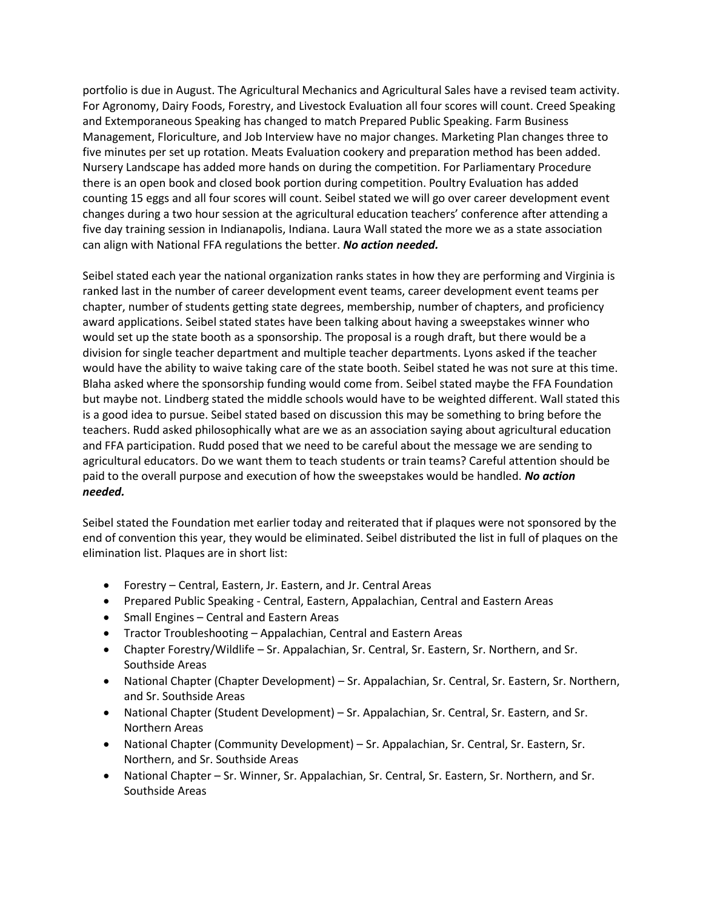portfolio is due in August. The Agricultural Mechanics and Agricultural Sales have a revised team activity. For Agronomy, Dairy Foods, Forestry, and Livestock Evaluation all four scores will count. Creed Speaking and Extemporaneous Speaking has changed to match Prepared Public Speaking. Farm Business Management, Floriculture, and Job Interview have no major changes. Marketing Plan changes three to five minutes per set up rotation. Meats Evaluation cookery and preparation method has been added. Nursery Landscape has added more hands on during the competition. For Parliamentary Procedure there is an open book and closed book portion during competition. Poultry Evaluation has added counting 15 eggs and all four scores will count. Seibel stated we will go over career development event changes during a two hour session at the agricultural education teachers' conference after attending a five day training session in Indianapolis, Indiana. Laura Wall stated the more we as a state association can align with National FFA regulations the better. *No action needed.*

Seibel stated each year the national organization ranks states in how they are performing and Virginia is ranked last in the number of career development event teams, career development event teams per chapter, number of students getting state degrees, membership, number of chapters, and proficiency award applications. Seibel stated states have been talking about having a sweepstakes winner who would set up the state booth as a sponsorship. The proposal is a rough draft, but there would be a division for single teacher department and multiple teacher departments. Lyons asked if the teacher would have the ability to waive taking care of the state booth. Seibel stated he was not sure at this time. Blaha asked where the sponsorship funding would come from. Seibel stated maybe the FFA Foundation but maybe not. Lindberg stated the middle schools would have to be weighted different. Wall stated this is a good idea to pursue. Seibel stated based on discussion this may be something to bring before the teachers. Rudd asked philosophically what are we as an association saying about agricultural education and FFA participation. Rudd posed that we need to be careful about the message we are sending to agricultural educators. Do we want them to teach students or train teams? Careful attention should be paid to the overall purpose and execution of how the sweepstakes would be handled. *No action needed.*

Seibel stated the Foundation met earlier today and reiterated that if plaques were not sponsored by the end of convention this year, they would be eliminated. Seibel distributed the list in full of plaques on the elimination list. Plaques are in short list:

- Forestry Central, Eastern, Jr. Eastern, and Jr. Central Areas
- Prepared Public Speaking Central, Eastern, Appalachian, Central and Eastern Areas
- Small Engines Central and Eastern Areas
- Tractor Troubleshooting Appalachian, Central and Eastern Areas
- Chapter Forestry/Wildlife Sr. Appalachian, Sr. Central, Sr. Eastern, Sr. Northern, and Sr. Southside Areas
- National Chapter (Chapter Development) Sr. Appalachian, Sr. Central, Sr. Eastern, Sr. Northern, and Sr. Southside Areas
- National Chapter (Student Development) Sr. Appalachian, Sr. Central, Sr. Eastern, and Sr. Northern Areas
- National Chapter (Community Development) Sr. Appalachian, Sr. Central, Sr. Eastern, Sr. Northern, and Sr. Southside Areas
- National Chapter Sr. Winner, Sr. Appalachian, Sr. Central, Sr. Eastern, Sr. Northern, and Sr. Southside Areas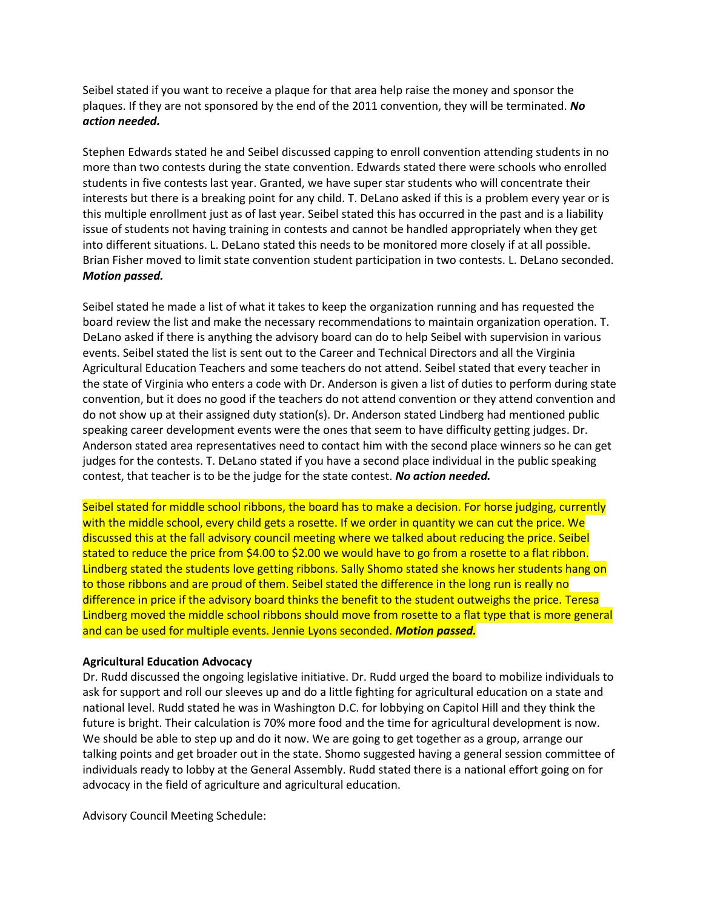Seibel stated if you want to receive a plaque for that area help raise the money and sponsor the plaques. If they are not sponsored by the end of the 2011 convention, they will be terminated. *No action needed.*

Stephen Edwards stated he and Seibel discussed capping to enroll convention attending students in no more than two contests during the state convention. Edwards stated there were schools who enrolled students in five contests last year. Granted, we have super star students who will concentrate their interests but there is a breaking point for any child. T. DeLano asked if this is a problem every year or is this multiple enrollment just as of last year. Seibel stated this has occurred in the past and is a liability issue of students not having training in contests and cannot be handled appropriately when they get into different situations. L. DeLano stated this needs to be monitored more closely if at all possible. Brian Fisher moved to limit state convention student participation in two contests. L. DeLano seconded. *Motion passed.*

Seibel stated he made a list of what it takes to keep the organization running and has requested the board review the list and make the necessary recommendations to maintain organization operation. T. DeLano asked if there is anything the advisory board can do to help Seibel with supervision in various events. Seibel stated the list is sent out to the Career and Technical Directors and all the Virginia Agricultural Education Teachers and some teachers do not attend. Seibel stated that every teacher in the state of Virginia who enters a code with Dr. Anderson is given a list of duties to perform during state convention, but it does no good if the teachers do not attend convention or they attend convention and do not show up at their assigned duty station(s). Dr. Anderson stated Lindberg had mentioned public speaking career development events were the ones that seem to have difficulty getting judges. Dr. Anderson stated area representatives need to contact him with the second place winners so he can get judges for the contests. T. DeLano stated if you have a second place individual in the public speaking contest, that teacher is to be the judge for the state contest. *No action needed.*

Seibel stated for middle school ribbons, the board has to make a decision. For horse judging, currently with the middle school, every child gets a rosette. If we order in quantity we can cut the price. We discussed this at the fall advisory council meeting where we talked about reducing the price. Seibel stated to reduce the price from \$4.00 to \$2.00 we would have to go from a rosette to a flat ribbon. Lindberg stated the students love getting ribbons. Sally Shomo stated she knows her students hang on to those ribbons and are proud of them. Seibel stated the difference in the long run is really no difference in price if the advisory board thinks the benefit to the student outweighs the price. Teresa Lindberg moved the middle school ribbons should move from rosette to a flat type that is more general and can be used for multiple events. Jennie Lyons seconded. *Motion passed.*

## **Agricultural Education Advocacy**

Dr. Rudd discussed the ongoing legislative initiative. Dr. Rudd urged the board to mobilize individuals to ask for support and roll our sleeves up and do a little fighting for agricultural education on a state and national level. Rudd stated he was in Washington D.C. for lobbying on Capitol Hill and they think the future is bright. Their calculation is 70% more food and the time for agricultural development is now. We should be able to step up and do it now. We are going to get together as a group, arrange our talking points and get broader out in the state. Shomo suggested having a general session committee of individuals ready to lobby at the General Assembly. Rudd stated there is a national effort going on for advocacy in the field of agriculture and agricultural education.

Advisory Council Meeting Schedule: